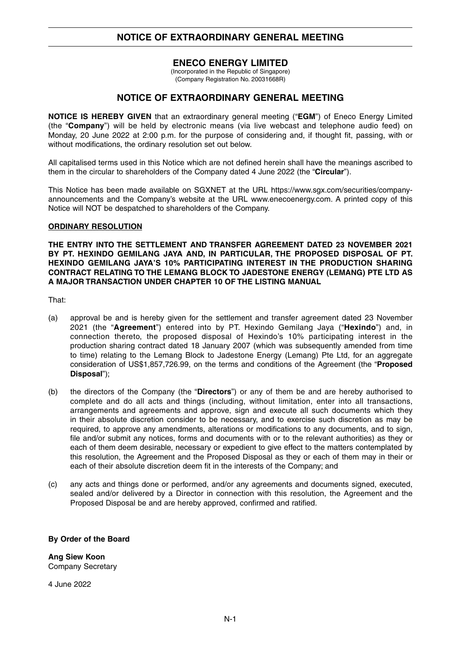# **NOTICE OF EXTRAORDINARY GENERAL MEETING**

## **ENECO ENERGY LIMITED**

(Incorporated in the Republic of Singapore) (Company Registration No. 20031668R)

## **NOTICE OF EXTRAORDINARY GENERAL MEETING**

**NOTICE IS HEREBY GIVEN** that an extraordinary general meeting ("**EGM**") of Eneco Energy Limited (the "**Company**") will be held by electronic means (via live webcast and telephone audio feed) on Monday, 20 June 2022 at 2:00 p.m. for the purpose of considering and, if thought fit, passing, with or without modifications, the ordinary resolution set out below.

All capitalised terms used in this Notice which are not defined herein shall have the meanings ascribed to them in the circular to shareholders of the Company dated 4 June 2022 (the "**Circular**").

This Notice has been made available on SGXNET at the URL https://www.sgx.com/securities/companyannouncements and the Company's website at the URL www.enecoenergy.com. A printed copy of this Notice will NOT be despatched to shareholders of the Company.

### **ORDINARY RESOLUTION**

**THE ENTRY INTO THE SETTLEMENT AND TRANSFER AGREEMENT DATED 23 NOVEMBER 2021 BY PT. HEXINDO GEMILANG JAYA AND, IN PARTICULAR, THE PROPOSED DISPOSAL OF PT. HEXINDO GEMILANG JAYA'S 10% PARTICIPATING INTEREST IN THE PRODUCTION SHARING CONTRACT RELATING TO THE LEMANG BLOCK TO JADESTONE ENERGY (LEMANG) PTE LTD AS A MAJOR TRANSACTION UNDER CHAPTER 10 OF THE LISTING MANUAL**

That:

- (a) approval be and is hereby given for the settlement and transfer agreement dated 23 November 2021 (the "**Agreement**") entered into by PT. Hexindo Gemilang Jaya ("**Hexindo**") and, in connection thereto, the proposed disposal of Hexindo's 10% participating interest in the production sharing contract dated 18 January 2007 (which was subsequently amended from time to time) relating to the Lemang Block to Jadestone Energy (Lemang) Pte Ltd, for an aggregate consideration of US\$1,857,726.99, on the terms and conditions of the Agreement (the "**Proposed Disposal**");
- (b) the directors of the Company (the "**Directors**") or any of them be and are hereby authorised to complete and do all acts and things (including, without limitation, enter into all transactions, arrangements and agreements and approve, sign and execute all such documents which they in their absolute discretion consider to be necessary, and to exercise such discretion as may be required, to approve any amendments, alterations or modifications to any documents, and to sign, file and/or submit any notices, forms and documents with or to the relevant authorities) as they or each of them deem desirable, necessary or expedient to give effect to the matters contemplated by this resolution, the Agreement and the Proposed Disposal as they or each of them may in their or each of their absolute discretion deem fit in the interests of the Company; and
- (c) any acts and things done or performed, and/or any agreements and documents signed, executed, sealed and/or delivered by a Director in connection with this resolution, the Agreement and the Proposed Disposal be and are hereby approved, confirmed and ratified.

### **By Order of the Board**

**Ang Siew Koon** Company Secretary

4 June 2022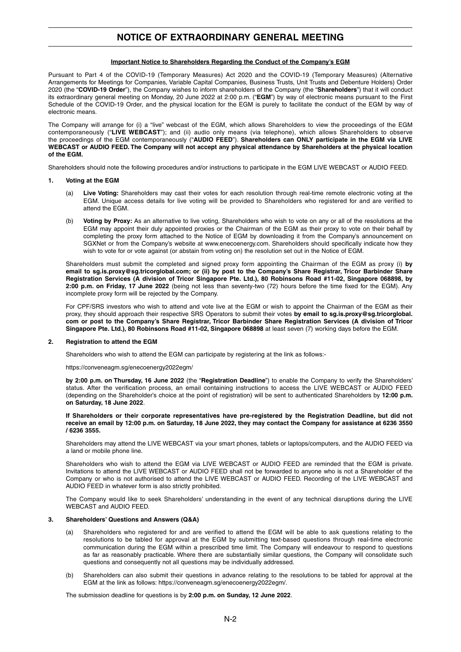## **NOTICE OF EXTRAORDINARY GENERAL MEETING**

#### **Important Notice to Shareholders Regarding the Conduct of the Company's EGM**

Pursuant to Part 4 of the COVID-19 (Temporary Measures) Act 2020 and the COVID-19 (Temporary Measures) (Alternative Arrangements for Meetings for Companies, Variable Capital Companies, Business Trusts, Unit Trusts and Debenture Holders) Order 2020 (the "**COVID-19 Order**"), the Company wishes to inform shareholders of the Company (the "**Shareholders**") that it will conduct its extraordinary general meeting on Monday, 20 June 2022 at 2:00 p.m. ("**EGM**") by way of electronic means pursuant to the First Schedule of the COVID-19 Order, and the physical location for the EGM is purely to facilitate the conduct of the EGM by way of electronic means.

The Company will arrange for (i) a "live" webcast of the EGM, which allows Shareholders to view the proceedings of the EGM contemporaneously ("**LIVE WEBCAST**"); and (ii) audio only means (via telephone), which allows Shareholders to observe the proceedings of the EGM contemporaneously ("**AUDIO FEED**"). **Shareholders can ONLY participate in the EGM via LIVE WEBCAST or AUDIO FEED. The Company will not accept any physical attendance by Shareholders at the physical location of the EGM.**

Shareholders should note the following procedures and/or instructions to participate in the EGM LIVE WEBCAST or AUDIO FEED.

#### **1. Voting at the EGM**

- (a) **Live Voting:** Shareholders may cast their votes for each resolution through real-time remote electronic voting at the EGM. Unique access details for live voting will be provided to Shareholders who registered for and are verified to attend the EGM.
- (b) **Voting by Proxy:** As an alternative to live voting, Shareholders who wish to vote on any or all of the resolutions at the EGM may appoint their duly appointed proxies or the Chairman of the EGM as their proxy to vote on their behalf by completing the proxy form attached to the Notice of EGM by downloading it from the Company's announcement on SGXNet or from the Company's website at www.enecoenergy.com. Shareholders should specifically indicate how they wish to vote for or vote against (or abstain from voting on) the resolution set out in the Notice of EGM.

Shareholders must submit the completed and signed proxy form appointing the Chairman of the EGM as proxy (i) **by email to sg.is.proxy@sg.tricorglobal.com; or (ii) by post to the Company's Share Registrar, Tricor Barbinder Share Registration Services (A division of Tricor Singapore Pte. Ltd.), 80 Robinsons Road #11-02, Singapore 068898, by 2:00 p.m. on Friday, 17 June 2022** (being not less than seventy-two (72) hours before the time fixed for the EGM). Any incomplete proxy form will be rejected by the Company.

For CPF/SRS investors who wish to attend and vote live at the EGM or wish to appoint the Chairman of the EGM as their proxy, they should approach their respective SRS Operators to submit their votes **by email to sg.is.proxy@sg.tricorglobal. com or post to the Company's Share Registrar, Tricor Barbinder Share Registration Services (A division of Tricor Singapore Pte. Ltd.), 80 Robinsons Road #11-02, Singapore 068898** at least seven (7) working days before the EGM.

#### **2. Registration to attend the EGM**

Shareholders who wish to attend the EGM can participate by registering at the link as follows:-

https://conveneagm.sg/enecoenergy2022egm/

**by 2:00 p.m. on Thursday, 16 June 2022** (the "**Registration Deadline**") to enable the Company to verify the Shareholders' status. After the verification process, an email containing instructions to access the LIVE WEBCAST or AUDIO FEED (depending on the Shareholder's choice at the point of registration) will be sent to authenticated Shareholders by **12:00 p.m. on Saturday, 18 June 2022**.

#### **If Shareholders or their corporate representatives have pre-registered by the Registration Deadline, but did not receive an email by 12:00 p.m. on Saturday, 18 June 2022, they may contact the Company for assistance at 6236 3550 / 6236 3555.**

Shareholders may attend the LIVE WEBCAST via your smart phones, tablets or laptops/computers, and the AUDIO FEED via a land or mobile phone line.

Shareholders who wish to attend the EGM via LIVE WEBCAST or AUDIO FEED are reminded that the EGM is private. Invitations to attend the LIVE WEBCAST or AUDIO FEED shall not be forwarded to anyone who is not a Shareholder of the Company or who is not authorised to attend the LIVE WEBCAST or AUDIO FEED. Recording of the LIVE WEBCAST and AUDIO FEED in whatever form is also strictly prohibited.

The Company would like to seek Shareholders' understanding in the event of any technical disruptions during the LIVE WEBCAST and AUDIO FEED.

#### **3. Shareholders' Questions and Answers (Q&A)**

- (a) Shareholders who registered for and are verified to attend the EGM will be able to ask questions relating to the resolutions to be tabled for approval at the EGM by submitting text-based questions through real-time electronic communication during the EGM within a prescribed time limit. The Company will endeavour to respond to questions as far as reasonably practicable. Where there are substantially similar questions, the Company will consolidate such questions and consequently not all questions may be individually addressed.
- (b) Shareholders can also submit their questions in advance relating to the resolutions to be tabled for approval at the EGM at the link as follows: https://conveneagm.sg/enecoenergy2022egm/.

The submission deadline for questions is by **2:00 p.m. on Sunday, 12 June 2022**.